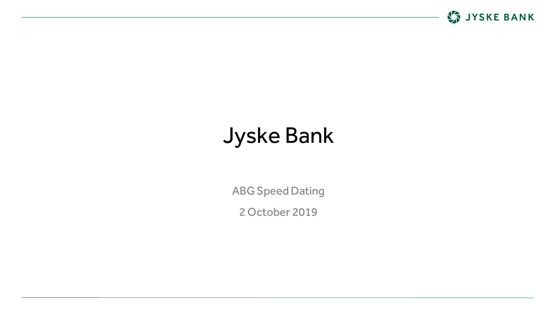

# Jyske Bank

ABG Speed Dating

2 October 2019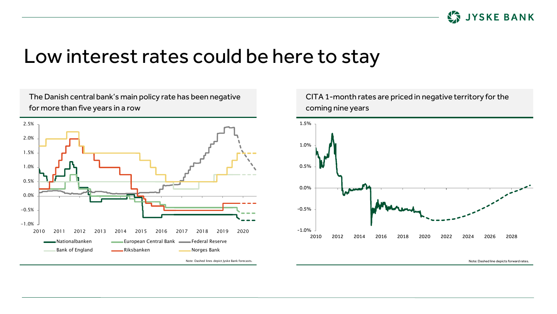

### Low interest rates could be here to stay

for more than five years in a row -1.0% -0.5% 0.0% 0.5% 1.0% 1.5% 2.0% 2.5% 2010 2011 2012 2013 2014 2015 2016 2017 2018 2019 2020 Nationalbanken European Central Bank Federal Reserve Bank of England **Communist Communist England** Riksbanken **Norges Bank** Note: Dashed lines depict Jyske Bank forecasts.

The Danish central bank's main policy rate has been negative



CITA 1-month rates are priced in negative territory for the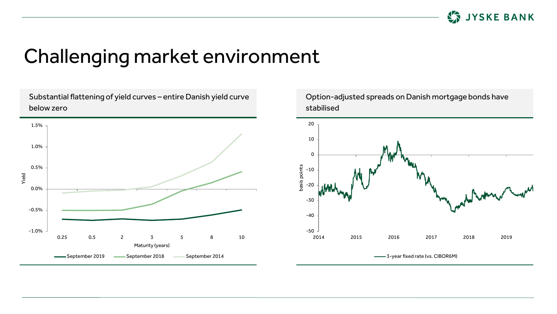

## Challenging market environment



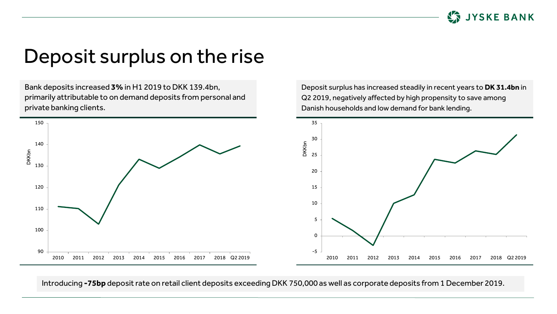

### Deposit surplus on the rise

Bank deposits increased **3%** in H1 2019 to DKK 139.4bn, primarily attributable to on demand deposits from personal and private banking clients.

Deposit surplus has increased steadily in recent years to **DK 31.4bn** in Q2 2019, negatively affected by high propensity to save among Danish households and low demand for bank lending.



Introducing **-75bp** deposit rate on retail client deposits exceeding DKK 750,000 as well as corporate deposits from 1 December 2019.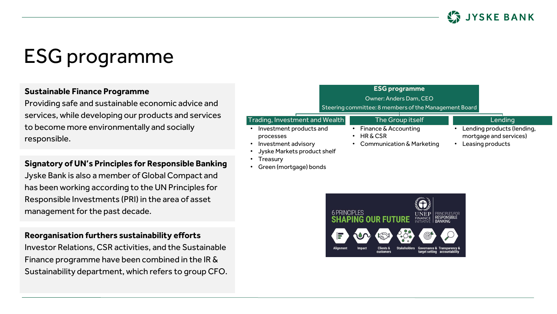

## ESG programme

#### **Sustainable Finance Programme**

Providing safe and sustainable economic advice and services, while developing our products and services to become more environmentally and socially responsible.

#### **Signatory of UN's Principles for Responsible Banking**

Jyske Bank is also a member of Global Compact and has been working according to the UN Principles for Responsible Investments (PRI) in the area of asset management for the past decade.

### **Reorganisation furthers sustainability efforts**

Investor Relations, CSR activities, and the Sustainable Finance programme have been combined in the IR & Sustainability department, which refers to group CFO.



- **Treasury**
- Green (mortgage) bonds



- Lending products (lending,
-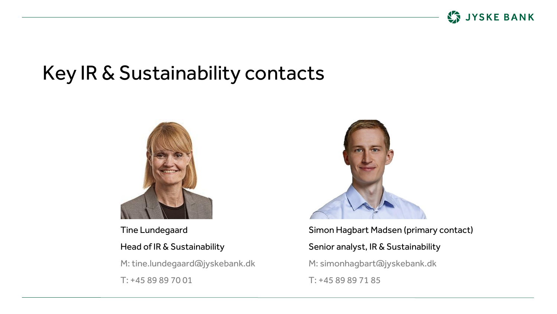

## Key IR & Sustainability contacts



Tine Lundegaard Head of IR & Sustainability M: tine.lundegaard@jyskebank.dk T: +45 89 89 70 01



Simon Hagbart Madsen (primary contact) Senior analyst, IR & Sustainability M: simonhagbart@jyskebank.dk T: +45 89 89 71 85